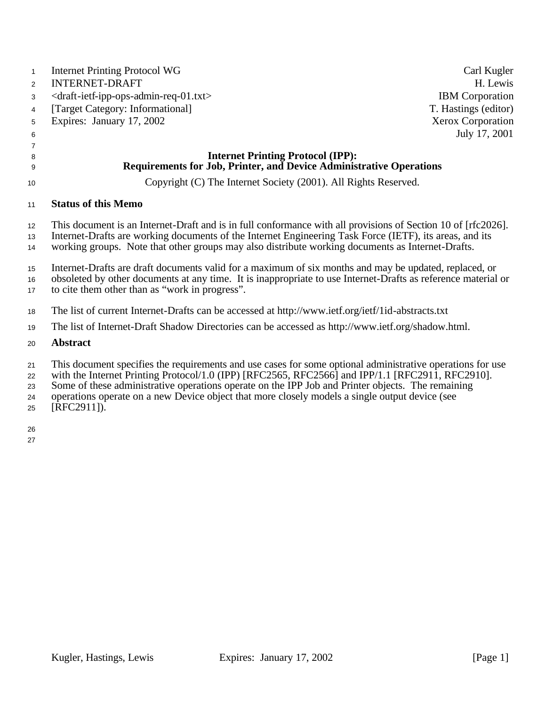| $\mathbf{1}$         | <b>Internet Printing Protocol WG</b>                                                                                                                                                                                                                                                                                                                                                                                  | Carl Kugler            |
|----------------------|-----------------------------------------------------------------------------------------------------------------------------------------------------------------------------------------------------------------------------------------------------------------------------------------------------------------------------------------------------------------------------------------------------------------------|------------------------|
| $\overline{2}$       | <b>INTERNET-DRAFT</b>                                                                                                                                                                                                                                                                                                                                                                                                 | H. Lewis               |
| 3                    | <draft-ietf-ipp-ops-admin-req-01.txt></draft-ietf-ipp-ops-admin-req-01.txt>                                                                                                                                                                                                                                                                                                                                           | <b>IBM</b> Corporation |
| 4                    | [Target Category: Informational]                                                                                                                                                                                                                                                                                                                                                                                      | T. Hastings (editor)   |
| 5                    | Expires: January 17, 2002                                                                                                                                                                                                                                                                                                                                                                                             | Xerox Corporation      |
| 6                    |                                                                                                                                                                                                                                                                                                                                                                                                                       | July 17, 2001          |
| 7                    |                                                                                                                                                                                                                                                                                                                                                                                                                       |                        |
| 8<br>9               | <b>Internet Printing Protocol (IPP):</b><br><b>Requirements for Job, Printer, and Device Administrative Operations</b>                                                                                                                                                                                                                                                                                                |                        |
| 10                   | Copyright (C) The Internet Society (2001). All Rights Reserved.                                                                                                                                                                                                                                                                                                                                                       |                        |
| 11                   | <b>Status of this Memo</b>                                                                                                                                                                                                                                                                                                                                                                                            |                        |
| 12                   | This document is an Internet-Draft and is in full conformance with all provisions of Section 10 of [rfc2026].                                                                                                                                                                                                                                                                                                         |                        |
| 13<br>14             | Internet-Drafts are working documents of the Internet Engineering Task Force (IETF), its areas, and its<br>working groups. Note that other groups may also distribute working documents as Internet-Drafts.                                                                                                                                                                                                           |                        |
| 15                   | Internet-Drafts are draft documents valid for a maximum of six months and may be updated, replaced, or                                                                                                                                                                                                                                                                                                                |                        |
| 16<br>17             | obsoleted by other documents at any time. It is inappropriate to use Internet-Drafts as reference material or<br>to cite them other than as "work in progress".                                                                                                                                                                                                                                                       |                        |
| 18                   | The list of current Internet-Drafts can be accessed at http://www.ietf.org/ietf/1id-abstracts.txt                                                                                                                                                                                                                                                                                                                     |                        |
| 19                   | The list of Internet-Draft Shadow Directories can be accessed as http://www.ietf.org/shadow.html.                                                                                                                                                                                                                                                                                                                     |                        |
| 20                   | <b>Abstract</b>                                                                                                                                                                                                                                                                                                                                                                                                       |                        |
| 21<br>22<br>23<br>24 | This document specifies the requirements and use cases for some optional administrative operations for use<br>with the Internet Printing Protocol/1.0 (IPP) [RFC2565, RFC2566] and IPP/1.1 [RFC2911, RFC2910].<br>Some of these administrative operations operate on the IPP Job and Printer objects. The remaining<br>operations operate on a new Device object that more closely models a single output device (see |                        |

[RFC2911]).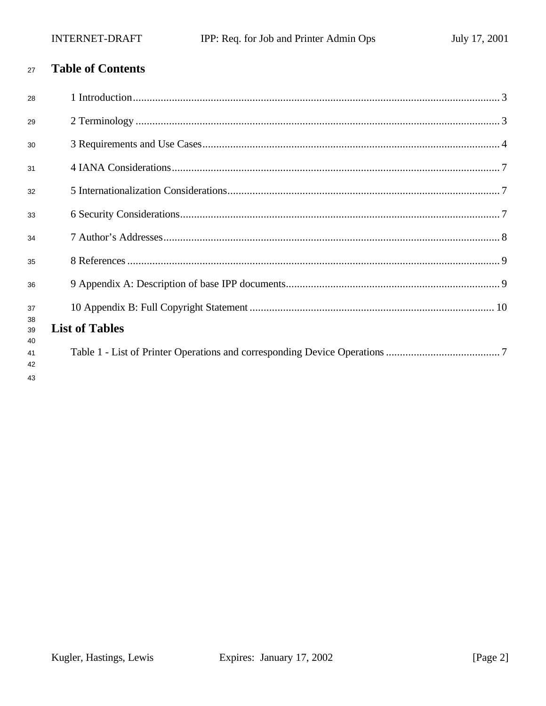#### **Table of Contents**  $27$

| 28             |                       |
|----------------|-----------------------|
| 29             |                       |
| 30             |                       |
| 31             |                       |
| 32             |                       |
| 33             |                       |
| 34             |                       |
| 35             |                       |
| 36             |                       |
| 37             |                       |
| 38<br>39<br>40 | <b>List of Tables</b> |
| 41<br>42       |                       |
| 43             |                       |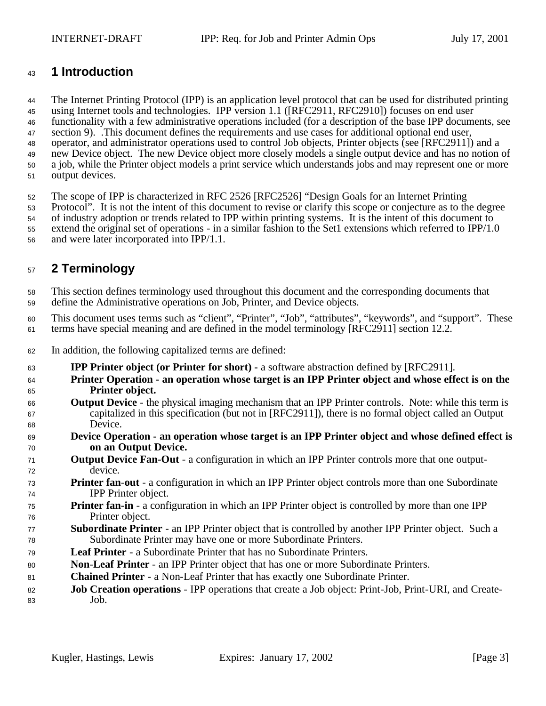## **1 Introduction**

 The Internet Printing Protocol (IPP) is an application level protocol that can be used for distributed printing using Internet tools and technologies. IPP version 1.1 ([RFC2911, RFC2910]) focuses on end user functionality with a few administrative operations included (for a description of the base IPP documents, see section 9). .This document defines the requirements and use cases for additional optional end user, operator, and administrator operations used to control Job objects, Printer objects (see [RFC2911]) and a new Device object. The new Device object more closely models a single output device and has no notion of a job, while the Printer object models a print service which understands jobs and may represent one or more output devices.

The scope of IPP is characterized in RFC 2526 [RFC2526] "Design Goals for an Internet Printing

Protocol". It is not the intent of this document to revise or clarify this scope or conjecture as to the degree

of industry adoption or trends related to IPP within printing systems. It is the intent of this document to

 extend the original set of operations - in a similar fashion to the Set1 extensions which referred to IPP/1.0 and were later incorporated into IPP/1.1.

# **2 Terminology**

 This section defines terminology used throughout this document and the corresponding documents that define the Administrative operations on Job, Printer, and Device objects.

 This document uses terms such as "client", "Printer", "Job", "attributes", "keywords", and "support". These terms have special meaning and are defined in the model terminology [RFC2911] section 12.2.

- In addition, the following capitalized terms are defined:
- **IPP Printer object (or Printer for short) -** a software abstraction defined by [RFC2911].
- **Printer Operation an operation whose target is an IPP Printer object and whose effect is on the Printer object.**
- **Output Device**  the physical imaging mechanism that an IPP Printer controls. Note: while this term is capitalized in this specification (but not in [RFC2911]), there is no formal object called an Output Device.
- **Device Operation an operation whose target is an IPP Printer object and whose defined effect is on an Output Device.**
- **Output Device Fan-Out** a configuration in which an IPP Printer controls more that one output-device.
- **Printer fan**-**out**  a configuration in which an IPP Printer object controls more than one Subordinate IPP Printer object.
- **Printer fan-in** a configuration in which an IPP Printer object is controlled by more than one IPP Printer object.
- **Subordinate Printer**  an IPP Printer object that is controlled by another IPP Printer object. Such a Subordinate Printer may have one or more Subordinate Printers.
- **Leaf Printer**  a Subordinate Printer that has no Subordinate Printers.
- **Non**-**Leaf Printer** an IPP Printer object that has one or more Subordinate Printers.
- **Chained Printer**  a Non-Leaf Printer that has exactly one Subordinate Printer.
- **Job Creation operations**  IPP operations that create a Job object: Print-Job, Print-URI, and Create-Job.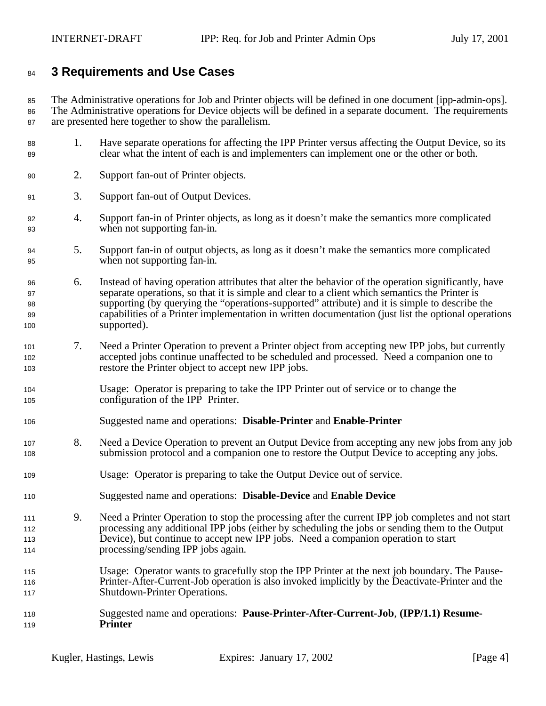## **3 Requirements and Use Cases**

 The Administrative operations for Job and Printer objects will be defined in one document [ipp-admin-ops]. The Administrative operations for Device objects will be defined in a separate document. The requirements are presented here together to show the parallelism.

- 1. Have separate operations for affecting the IPP Printer versus affecting the Output Device, so its clear what the intent of each is and implementers can implement one or the other or both.
- 2. Support fan-out of Printer objects.
- 3. Support fan-out of Output Devices.
- 4. Support fan-in of Printer objects, as long as it doesn't make the semantics more complicated when not supporting fan-in.
- 5. Support fan-in of output objects, as long as it doesn't make the semantics more complicated when not supporting fan-in.
- 6. Instead of having operation attributes that alter the behavior of the operation significantly, have separate operations, so that it is simple and clear to a client which semantics the Printer is supporting (by querying the "operations-supported" attribute) and it is simple to describe the capabilities of a Printer implementation in written documentation (just list the optional operations supported).
- 7. Need a Printer Operation to prevent a Printer object from accepting new IPP jobs, but currently accepted jobs continue unaffected to be scheduled and processed. Need a companion one to restore the Printer object to accept new IPP jobs.
- Usage: Operator is preparing to take the IPP Printer out of service or to change the configuration of the IPP Printer.
- Suggested name and operations: **Disable-Printer** and **Enable-Printer**
- 8. Need a Device Operation to prevent an Output Device from accepting any new jobs from any job submission protocol and a companion one to restore the Output Device to accepting any jobs.
- Usage: Operator is preparing to take the Output Device out of service.
- Suggested name and operations: **Disable-Device** and **Enable Device**
- 9. Need a Printer Operation to stop the processing after the current IPP job completes and not start processing any additional IPP jobs (either by scheduling the jobs or sending them to the Output Device), but continue to accept new IPP jobs. Need a companion operation to start processing/sending IPP jobs again.
- Usage: Operator wants to gracefully stop the IPP Printer at the next job boundary. The Pause- Printer-After-Current-Job operation is also invoked implicitly by the Deactivate-Printer and the Shutdown-Printer Operations.
- Suggested name and operations: **Pause-Printer-After-Current-Job**, **(IPP/1.1) Resume-Printer**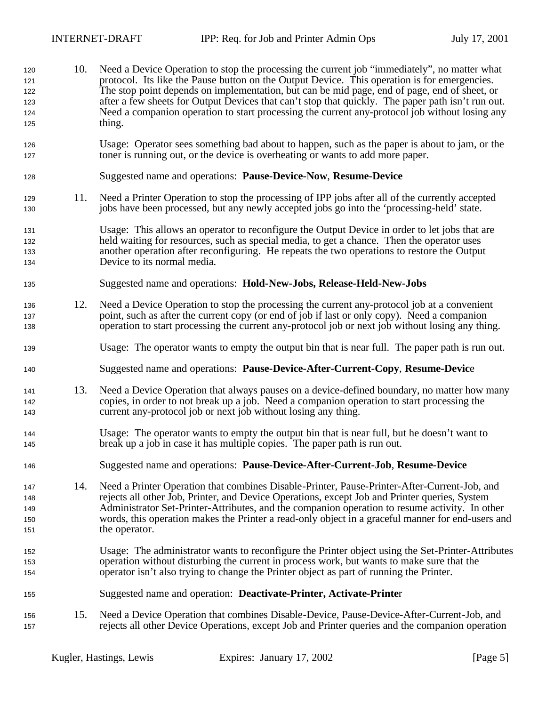10. Need a Device Operation to stop the processing the current job "immediately", no matter what protocol. Its like the Pause button on the Output Device. This operation is for emergencies. The stop point depends on implementation, but can be mid page, end of page, end of sheet, or after a few sheets for Output Devices that can't stop that quickly. The paper path isn't run out. Need a companion operation to start processing the current any-protocol job without losing any thing. Usage: Operator sees something bad about to happen, such as the paper is about to jam, or the toner is running out, or the device is overheating or wants to add more paper. Suggested name and operations: **Pause-Device-Now**, **Resume-Device** 11. Need a Printer Operation to stop the processing of IPP jobs after all of the currently accepted jobs have been processed, but any newly accepted jobs go into the 'processing-held' state. Usage: This allows an operator to reconfigure the Output Device in order to let jobs that are held waiting for resources, such as special media, to get a chance. Then the operator uses another operation after reconfiguring. He repeats the two operations to restore the Output Device to its normal media. Suggested name and operations: **Hold-New-Jobs, Release-Held-New-Jobs** 12. Need a Device Operation to stop the processing the current any-protocol job at a convenient point, such as after the current copy (or end of job if last or only copy). Need a companion operation to start processing the current any-protocol job or next job without losing any thing. Usage: The operator wants to empty the output bin that is near full. The paper path is run out. Suggested name and operations: **Pause-Device-After-Current-Copy**, **Resume-Devic**e 13. Need a Device Operation that always pauses on a device-defined boundary, no matter how many copies, in order to not break up a job. Need a companion operation to start processing the current any-protocol job or next job without losing any thing. Usage: The operator wants to empty the output bin that is near full, but he doesn't want to break up a job in case it has multiple copies. The paper path is run out. Suggested name and operations: **Pause-Device-After-Current-Job**, **Resume-Device** 14. Need a Printer Operation that combines Disable-Printer, Pause-Printer-After-Current-Job, and rejects all other Job, Printer, and Device Operations, except Job and Printer queries, System Administrator Set-Printer-Attributes, and the companion operation to resume activity. In other words, this operation makes the Printer a read-only object in a graceful manner for end-users and 151 the operator. Usage: The administrator wants to reconfigure the Printer object using the Set-Printer-Attributes operation without disturbing the current in process work, but wants to make sure that the operator isn't also trying to change the Printer object as part of running the Printer. Suggested name and operation: **Deactivate-Printer, Activate-Printe**r 15. Need a Device Operation that combines Disable-Device, Pause-Device-After-Current-Job, and rejects all other Device Operations, except Job and Printer queries and the companion operation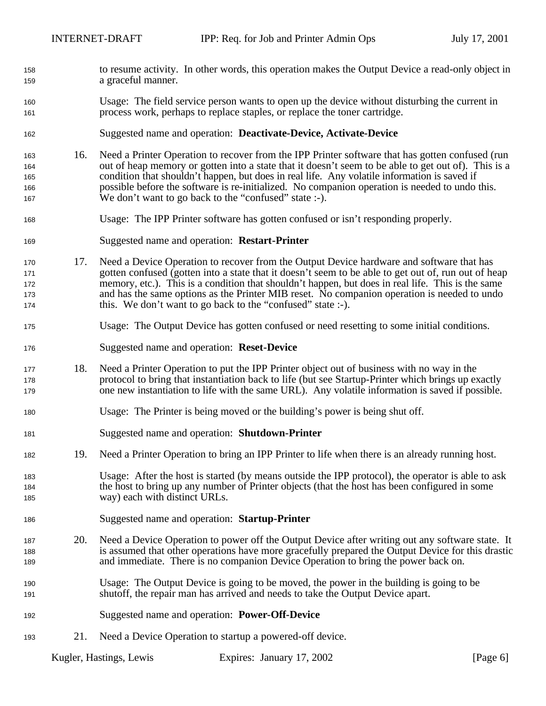- to resume activity. In other words, this operation makes the Output Device a read-only object in a graceful manner.
- Usage: The field service person wants to open up the device without disturbing the current in process work, perhaps to replace staples, or replace the toner cartridge.
- Suggested name and operation: **Deactivate-Device, Activate-Device**
- 16. Need a Printer Operation to recover from the IPP Printer software that has gotten confused (run out of heap memory or gotten into a state that it doesn't seem to be able to get out of). This is a condition that shouldn't happen, but does in real life. Any volatile information is saved if possible before the software is re-initialized. No companion operation is needed to undo this. We don't want to go back to the "confused" state :-).
- Usage: The IPP Printer software has gotten confused or isn't responding properly.
- Suggested name and operation: **Restart-Printer**
- 17. Need a Device Operation to recover from the Output Device hardware and software that has gotten confused (gotten into a state that it doesn't seem to be able to get out of, run out of heap memory, etc.). This is a condition that shouldn't happen, but does in real life. This is the same and has the same options as the Printer MIB reset. No companion operation is needed to undo this. We don't want to go back to the "confused" state :-).
- Usage: The Output Device has gotten confused or need resetting to some initial conditions.
- Suggested name and operation: **Reset-Device**
- 18. Need a Printer Operation to put the IPP Printer object out of business with no way in the protocol to bring that instantiation back to life (but see Startup-Printer which brings up exactly one new instantiation to life with the same URL). Any volatile information is saved if possible.
- Usage: The Printer is being moved or the building's power is being shut off.
- Suggested name and operation: **Shutdown-Printer**
- 19. Need a Printer Operation to bring an IPP Printer to life when there is an already running host.
- Usage: After the host is started (by means outside the IPP protocol), the operator is able to ask the host to bring up any number of Printer objects (that the host has been configured in some way) each with distinct URLs.
- Suggested name and operation: **Startup-Printer**
- 20. Need a Device Operation to power off the Output Device after writing out any software state. It is assumed that other operations have more gracefully prepared the Output Device for this drastic and immediate. There is no companion Device Operation to bring the power back on.
- Usage: The Output Device is going to be moved, the power in the building is going to be shutoff, the repair man has arrived and needs to take the Output Device apart.
- Suggested name and operation: **Power-Off-Device**
- 21. Need a Device Operation to startup a powered-off device.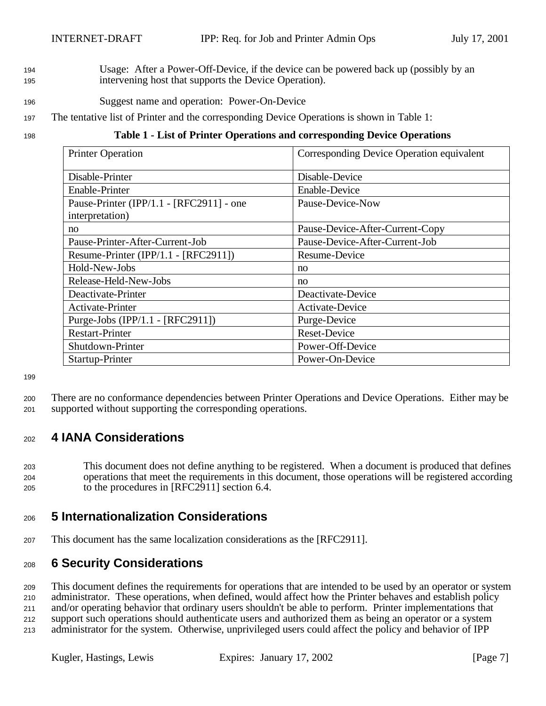- <sup>194</sup> Usage: After a Power-Off-Device, if the device can be powered back up (possibly by an <sup>195</sup> intervening host that supports the Device Operation).
- <sup>196</sup> Suggest name and operation: Power-On-Device
- <sup>197</sup> The tentative list of Printer and the corresponding Device Operations is shown in Table 1:

#### <sup>198</sup> **Table 1 - List of Printer Operations and corresponding Device Operations**

| <b>Printer Operation</b>                 | Corresponding Device Operation equivalent |
|------------------------------------------|-------------------------------------------|
| Disable-Printer                          | Disable-Device                            |
| Enable-Printer                           | <b>Enable-Device</b>                      |
| Pause-Printer (IPP/1.1 - [RFC2911] - one | Pause-Device-Now                          |
| interpretation)                          |                                           |
| no                                       | Pause-Device-After-Current-Copy           |
| Pause-Printer-After-Current-Job          | Pause-Device-After-Current-Job            |
| Resume-Printer (IPP/1.1 - [RFC2911])     | Resume-Device                             |
| Hold-New-Jobs                            | no                                        |
| Release-Held-New-Jobs                    | no                                        |
| Deactivate-Printer                       | Deactivate-Device                         |
| Activate-Printer                         | Activate-Device                           |
| Purge-Jobs (IPP/1.1 - [RFC2911])         | Purge-Device                              |
| <b>Restart-Printer</b>                   | <b>Reset-Device</b>                       |
| Shutdown-Printer                         | Power-Off-Device                          |
| Startup-Printer                          | Power-On-Device                           |

199

- <sup>200</sup> There are no conformance dependencies between Printer Operations and Device Operations. Either may be
- <sup>201</sup> supported without supporting the corresponding operations.

#### <sup>202</sup> **4 IANA Considerations**

<sup>203</sup> This document does not define anything to be registered. When a document is produced that defines <sup>204</sup> operations that meet the requirements in this document, those operations will be registered according <sup>205</sup> to the procedures in [RFC2911] section 6.4.

# <sup>206</sup> **5 Internationalization Considerations**

<sup>207</sup> This document has the same localization considerations as the [RFC2911].

# <sup>208</sup> **6 Security Considerations**

 This document defines the requirements for operations that are intended to be used by an operator or system administrator. These operations, when defined, would affect how the Printer behaves and establish policy and/or operating behavior that ordinary users shouldn't be able to perform. Printer implementations that support such operations should authenticate users and authorized them as being an operator or a system

<sup>213</sup> administrator for the system. Otherwise, unprivileged users could affect the policy and behavior of IPP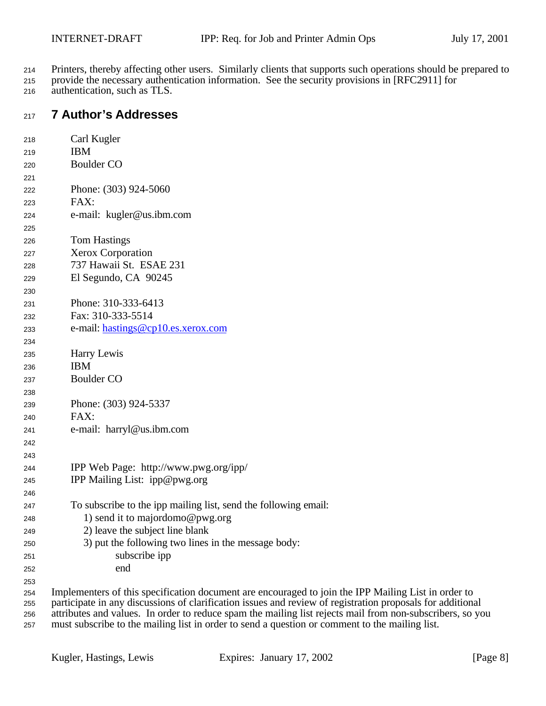- Printers, thereby affecting other users. Similarly clients that supports such operations should be prepared to
- provide the necessary authentication information. See the security provisions in [RFC2911] for authentication, such as TLS.

## **7 Author's Addresses**

| 218        | Carl Kugler                                                                                                                                                                                                       |
|------------|-------------------------------------------------------------------------------------------------------------------------------------------------------------------------------------------------------------------|
| 219        | <b>IBM</b>                                                                                                                                                                                                        |
| 220        | <b>Boulder CO</b>                                                                                                                                                                                                 |
| 221        |                                                                                                                                                                                                                   |
| 222        | Phone: (303) 924-5060                                                                                                                                                                                             |
| 223        | FAX:                                                                                                                                                                                                              |
| 224        | e-mail: kugler@us.ibm.com                                                                                                                                                                                         |
| 225        |                                                                                                                                                                                                                   |
| 226        | <b>Tom Hastings</b>                                                                                                                                                                                               |
| 227        | <b>Xerox Corporation</b>                                                                                                                                                                                          |
| 228        | 737 Hawaii St. ESAE 231                                                                                                                                                                                           |
| 229        | El Segundo, CA 90245                                                                                                                                                                                              |
| 230        |                                                                                                                                                                                                                   |
| 231        | Phone: 310-333-6413                                                                                                                                                                                               |
| 232        | Fax: 310-333-5514                                                                                                                                                                                                 |
| 233        | e-mail: hastings@cp10.es.xerox.com                                                                                                                                                                                |
| 234        |                                                                                                                                                                                                                   |
| 235        | Harry Lewis                                                                                                                                                                                                       |
| 236        | <b>IBM</b>                                                                                                                                                                                                        |
| 237        | <b>Boulder CO</b>                                                                                                                                                                                                 |
| 238        |                                                                                                                                                                                                                   |
| 239        | Phone: (303) 924-5337                                                                                                                                                                                             |
| 240        | FAX:                                                                                                                                                                                                              |
| 241        | e-mail: harryl@us.ibm.com                                                                                                                                                                                         |
| 242        |                                                                                                                                                                                                                   |
| 243        |                                                                                                                                                                                                                   |
| 244        | IPP Web Page: http://www.pwg.org/ipp/                                                                                                                                                                             |
| 245        | IPP Mailing List: ipp@pwg.org                                                                                                                                                                                     |
| 246        |                                                                                                                                                                                                                   |
| 247        | To subscribe to the ipp mailing list, send the following email:                                                                                                                                                   |
| 248        | 1) send it to majordomo@pwg.org                                                                                                                                                                                   |
| 249        | 2) leave the subject line blank                                                                                                                                                                                   |
| 250        | 3) put the following two lines in the message body:                                                                                                                                                               |
| 251        | subscribe ipp                                                                                                                                                                                                     |
| 252        | end                                                                                                                                                                                                               |
| 253        |                                                                                                                                                                                                                   |
| 254<br>つにに | Implementers of this specification document are encouraged to join the IPP Mailing List in order to<br>participate in any discussions of clarification issues and review of registration proposals for additional |

 participate in any discussions of clarification issues and review of registration proposals for additional attributes and values. In order to reduce spam the mailing list rejects mail from non-subscribers, so you must subscribe to the mailing list in order to send a question or comment to the mailing list.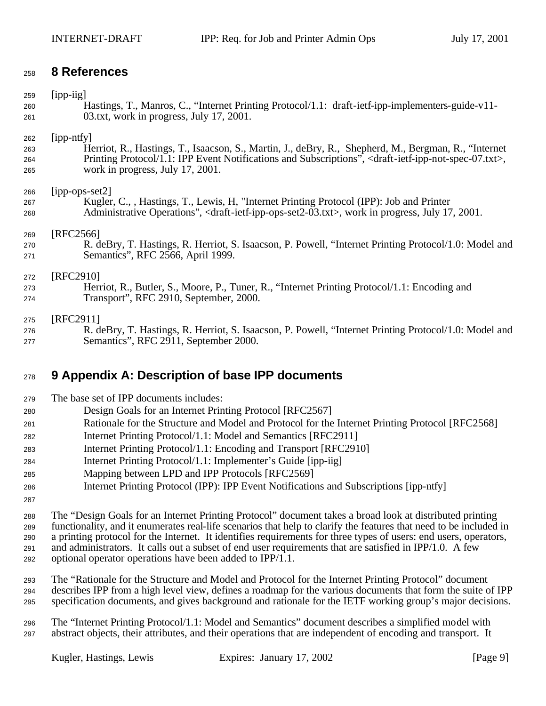#### **8 References**

| 259 | $[$ ipp-iig]                                                                                                                          |
|-----|---------------------------------------------------------------------------------------------------------------------------------------|
| 260 | Hastings, T., Manros, C., "Internet Printing Protocol/1.1: draft-ietf-ipp-implementers-guide-v11-                                     |
| 261 | 03.txt, work in progress, July 17, 2001.                                                                                              |
| 262 | [ipp-ntfy]                                                                                                                            |
| 263 | Herriot, R., Hastings, T., Isaacson, S., Martin, J., deBry, R., Shepherd, M., Bergman, R., "Internet                                  |
| 264 | Printing Protocol/1.1: IPP Event Notifications and Subscriptions", <draft-ietf-ipp-not-spec-07.txt>,</draft-ietf-ipp-not-spec-07.txt> |
| 265 | work in progress, July 17, 2001.                                                                                                      |
| 266 | $[$ ipp-ops-set $2]$                                                                                                                  |
| 267 | Kugler, C., Hastings, T., Lewis, H. "Internet Printing Protocol (IPP): Job and Printer                                                |
| 268 | Administrative Operations", <draft-ietf-ipp-ops-set2-03.txt>, work in progress, July 17, 2001.</draft-ietf-ipp-ops-set2-03.txt>       |
| 269 | [RFC2566]                                                                                                                             |
| 270 | R. deBry, T. Hastings, R. Herriot, S. Isaacson, P. Powell, "Internet Printing Protocol/1.0: Model and                                 |
| 271 | Semantics", RFC 2566, April 1999.                                                                                                     |
| 272 | [RFC2910]                                                                                                                             |
| 273 | Herriot, R., Butler, S., Moore, P., Tuner, R., "Internet Printing Protocol/1.1: Encoding and                                          |
| 274 | Transport", RFC 2910, September, 2000.                                                                                                |
| 275 | [RFC2911]                                                                                                                             |
| 276 | R. deBry, T. Hastings, R. Herriot, S. Isaacson, P. Powell, "Internet Printing Protocol/1.0: Model and                                 |
| 277 | Semantics", RFC 2911, September 2000.                                                                                                 |

# **9 Appendix A: Description of base IPP documents**

- The base set of IPP documents includes:
- Design Goals for an Internet Printing Protocol [RFC2567]
- Rationale for the Structure and Model and Protocol for the Internet Printing Protocol [RFC2568]
- Internet Printing Protocol/1.1: Model and Semantics [RFC2911]
- Internet Printing Protocol/1.1: Encoding and Transport [RFC2910]
- Internet Printing Protocol/1.1: Implementer's Guide [ipp-iig]
- Mapping between LPD and IPP Protocols [RFC2569]
- Internet Printing Protocol (IPP): IPP Event Notifications and Subscriptions [ipp-ntfy]
- 

 The "Design Goals for an Internet Printing Protocol" document takes a broad look at distributed printing functionality, and it enumerates real-life scenarios that help to clarify the features that need to be included in a printing protocol for the Internet. It identifies requirements for three types of users: end users, operators, and administrators. It calls out a subset of end user requirements that are satisfied in IPP/1.0. A few optional operator operations have been added to IPP/1.1.

 The "Rationale for the Structure and Model and Protocol for the Internet Printing Protocol" document describes IPP from a high level view, defines a roadmap for the various documents that form the suite of IPP specification documents, and gives background and rationale for the IETF working group's major decisions.

 The "Internet Printing Protocol/1.1: Model and Semantics" document describes a simplified model with abstract objects, their attributes, and their operations that are independent of encoding and transport. It